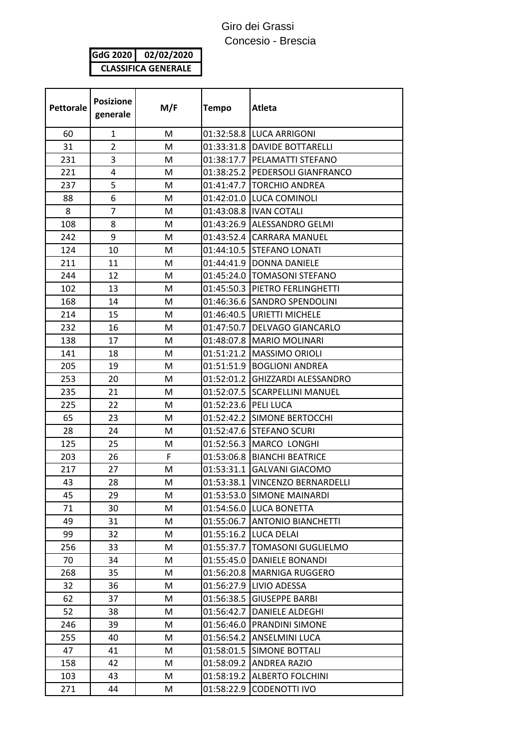## Giro dei Grassi Concesio - Brescia

**GdG 2020 02/02/2020 CLASSIFICA GENERALE**

| <b>Pettorale</b> | <b>Posizione</b><br>generale | M/F | <b>Tempo</b>         | <b>Atleta</b>                     |
|------------------|------------------------------|-----|----------------------|-----------------------------------|
| 60               | 1                            | M   |                      | 01:32:58.8 LUCA ARRIGONI          |
| 31               | $\overline{2}$               | M   |                      | 01:33:31.8   DAVIDE BOTTARELLI    |
| 231              | 3                            | M   |                      | 01:38:17.7   PELAMATTI STEFANO    |
| 221              | 4                            | м   |                      | 01:38:25.2   PEDERSOLI GIANFRANCO |
| 237              | 5                            | M   |                      | 01:41:47.7 TORCHIO ANDREA         |
| 88               | 6                            | M   |                      | 01:42:01.0 LUCA COMINOLI          |
| 8                | 7                            | M   |                      | 01:43:08.8   IVAN COTALI          |
| 108              | 8                            | M   |                      | 01:43:26.9 ALESSANDRO GELMI       |
| 242              | 9                            | M   |                      | 01:43:52.4 CARRARA MANUEL         |
| 124              | 10                           | M   |                      | 01:44:10.5 STEFANO LONATI         |
| 211              | 11                           | M   |                      | 01:44:41.9  DONNA DANIELE         |
| 244              | 12                           | M   |                      | 01:45:24.0   TOMASONI STEFANO     |
| 102              | 13                           | M   |                      | 01:45:50.3 PIETRO FERLINGHETTI    |
| 168              | 14                           | M   |                      | 01:46:36.6 SANDRO SPENDOLINI      |
| 214              | 15                           | M   |                      | 01:46:40.5   URIETTI MICHELE      |
| 232              | 16                           | M   |                      | 01:47:50.7   DELVAGO GIANCARLO    |
| 138              | 17                           | м   |                      | 01:48:07.8   MARIO MOLINARI       |
| 141              | 18                           | M   |                      | 01:51:21.2   MASSIMO ORIOLI       |
| 205              | 19                           | M   |                      | 01:51:51.9 BOGLIONI ANDREA        |
| 253              | 20                           | M   |                      | 01:52:01.2 GHIZZARDI ALESSANDRO   |
| 235              | 21                           | M   |                      | 01:52:07.5 SCARPELLINI MANUEL     |
| 225              | 22                           | M   | 01:52:23.6 PELI LUCA |                                   |
| 65               | 23                           | м   |                      | 01:52:42.2 SIMONE BERTOCCHI       |
| 28               | 24                           | M   |                      | 01:52:47.6 STEFANO SCURI          |
| 125              | 25                           | M   |                      | 01:52:56.3   MARCO LONGHI         |
| 203              | 26                           | F.  |                      | 01:53:06.8 BIANCHI BEATRICE       |
| 217              | 27                           | M   |                      | 01:53:31.1 GALVANI GIACOMO        |
| 43               | 28                           | M   |                      | 01:53:38.1   VINCENZO BERNARDELLI |
| 45               | 29                           | М   | 01:53:53.0           | <b>SIMONE MAINARDI</b>            |
| 71               | 30                           | М   |                      | 01:54:56.0 LUCA BONETTA           |
| 49               | 31                           | M   |                      | 01:55:06.7 ANTONIO BIANCHETTI     |
| 99               | 32                           | M   | 01:55:16.2           | <b>LUCA DELAI</b>                 |
| 256              | 33                           | M   | 01:55:37.7           | <b>TOMASONI GUGLIELMO</b>         |
| 70               | 34                           | M   | 01:55:45.0           | DANIELE BONANDI                   |
| 268              | 35                           | M   |                      | 01:56:20.8   MARNIGA RUGGERO      |
| 32               | 36                           | М   | 01:56:27.9           | <b>LIVIO ADESSA</b>               |
| 62               | 37                           | M   | 01:56:38.5           | <b>GIUSEPPE BARBI</b>             |
| 52               | 38                           | M   | 01:56:42.7           | DANIELE ALDEGHI                   |
| 246              | 39                           | M   | 01:56:46.0           | <b>PRANDINI SIMONE</b>            |
| 255              | 40                           | M   |                      | 01:56:54.2 ANSELMINI LUCA         |
| 47               | 41                           | M   | 01:58:01.5           | <b>SIMONE BOTTALI</b>             |
| 158              | 42                           | М   | 01:58:09.2           | <b>ANDREA RAZIO</b>               |
| 103              | 43                           | M   | 01:58:19.2           | <b>ALBERTO FOLCHINI</b>           |
| 271              | 44                           | M   | 01:58:22.9           | CODENOTTI IVO                     |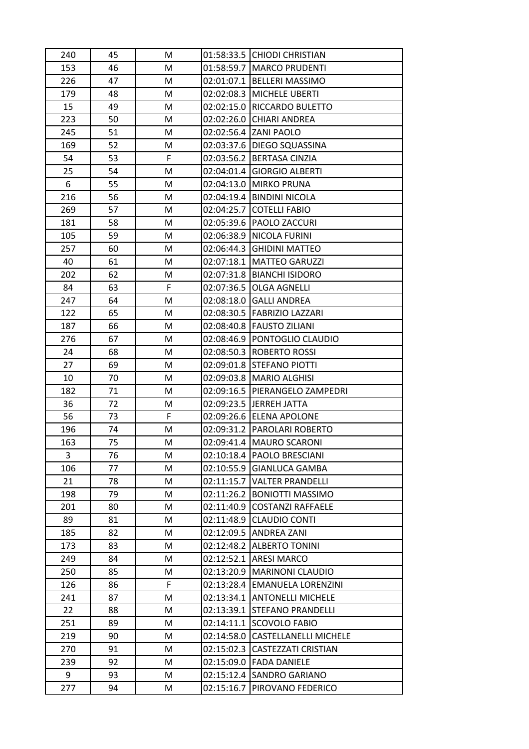| 240 | 45 | M  |            | 01:58:33.5 CHIODI CHRISTIAN   |
|-----|----|----|------------|-------------------------------|
| 153 | 46 | M  |            | 01:58:59.7   MARCO PRUDENTI   |
| 226 | 47 | M  | 02:01:07.1 | <b>BELLERI MASSIMO</b>        |
| 179 | 48 | M  |            | 02:02:08.3 MICHELE UBERTI     |
| 15  | 49 | M  |            | 02:02:15.0 RICCARDO BULETTO   |
| 223 | 50 | M  |            | 02:02:26.0 CHIARI ANDREA      |
| 245 | 51 | M  |            | 02:02:56.4 ZANI PAOLO         |
| 169 | 52 | M  |            | 02:03:37.6 DIEGO SQUASSINA    |
| 54  | 53 | F. | 02:03:56.2 | <b>BERTASA CINZIA</b>         |
| 25  | 54 | M  | 02:04:01.4 | <b>GIORGIO ALBERTI</b>        |
| 6   | 55 | M  |            | 02:04:13.0 MIRKO PRUNA        |
| 216 | 56 | M  |            | 02:04:19.4 BINDINI NICOLA     |
| 269 | 57 | M  |            | 02:04:25.7 COTELLI FABIO      |
| 181 | 58 | M  |            | 02:05:39.6 PAOLO ZACCURI      |
| 105 | 59 | M  | 02:06:38.9 | NICOLA FURINI                 |
| 257 | 60 | M  |            | 02:06:44.3 GHIDINI MATTEO     |
| 40  | 61 | M  | 02:07:18.1 | <b>MATTEO GARUZZI</b>         |
| 202 | 62 | M  |            | 02:07:31.8 BIANCHI ISIDORO    |
| 84  | 63 | F. | 02:07:36.5 | <b>OLGA AGNELLI</b>           |
| 247 | 64 | M  |            | 02:08:18.0 GALLI ANDREA       |
| 122 | 65 | M  |            | 02:08:30.5   FABRIZIO LAZZARI |
| 187 | 66 | M  | 02:08:40.8 | <b>FAUSTO ZILIANI</b>         |
| 276 | 67 | M  |            | 02:08:46.9 PONTOGLIO CLAUDIO  |
| 24  | 68 | M  |            | 02:08:50.3   ROBERTO ROSSI    |
| 27  | 69 | М  |            | 02:09:01.8 STEFANO PIOTTI     |
| 10  | 70 | M  | 02:09:03.8 | <b>MARIO ALGHISI</b>          |
| 182 | 71 | M  | 02:09:16.5 | PIERANGELO ZAMPEDRI           |
| 36  | 72 | М  |            | 02:09:23.5 JERREH JATTA       |
| 56  | 73 | F. |            | 02:09:26.6 ELENA APOLONE      |
| 196 | 74 | M  |            | 02:09:31.2 PAROLARI ROBERTO   |
| 163 | 75 | M  |            | 02:09:41.4   MAURO SCARONI    |
| 3   | 76 | М  |            | 02:10:18.4   PAOLO BRESCIANI  |
| 106 | 77 | M  | 02:10:55.9 | <b>GIANLUCA GAMBA</b>         |
| 21  | 78 | M  | 02:11:15.7 | <b>VALTER PRANDELLI</b>       |
| 198 | 79 | М  | 02:11:26.2 | <b>BONIOTTI MASSIMO</b>       |
| 201 | 80 | М  | 02:11:40.9 | <b>COSTANZI RAFFAELE</b>      |
| 89  | 81 | М  | 02:11:48.9 | <b>CLAUDIO CONTI</b>          |
| 185 | 82 | М  | 02:12:09.5 | <b>ANDREA ZANI</b>            |
| 173 | 83 | M  | 02:12:48.2 | <b>ALBERTO TONINI</b>         |
| 249 | 84 | М  | 02:12:52.1 | <b>ARESI MARCO</b>            |
| 250 | 85 | М  | 02:13:20.9 | <b>MARINONI CLAUDIO</b>       |
| 126 | 86 | F  | 02:13:28.4 | <b>EMANUELA LORENZINI</b>     |
| 241 | 87 | М  | 02:13:34.1 | <b>ANTONELLI MICHELE</b>      |
| 22  | 88 | М  | 02:13:39.1 | <b>STEFANO PRANDELLI</b>      |
| 251 | 89 | M  | 02:14:11.1 | <b>SCOVOLO FABIO</b>          |
| 219 | 90 | М  | 02:14:58.0 | <b>CASTELLANELLI MICHELE</b>  |
| 270 | 91 | M  | 02:15:02.3 | <b>CASTEZZATI CRISTIAN</b>    |
| 239 | 92 | М  | 02:15:09.0 | <b>FADA DANIELE</b>           |
| 9   | 93 | M  | 02:15:12.4 | SANDRO GARIANO                |
| 277 | 94 | M  | 02:15:16.7 | PIROVANO FEDERICO             |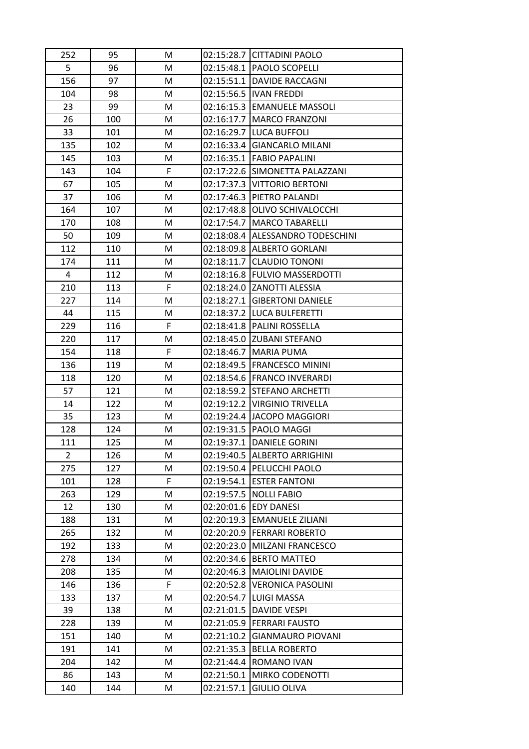| 252            | 95  | M  |            | 02:15:28.7 CITTADINI PAOLO       |
|----------------|-----|----|------------|----------------------------------|
| 5              | 96  | M  |            | 02:15:48.1   PAOLO SCOPELLI      |
| 156            | 97  | М  | 02:15:51.1 | <b>DAVIDE RACCAGNI</b>           |
| 104            | 98  | M  |            | 02:15:56.5   IVAN FREDDI         |
| 23             | 99  | M  | 02:16:15.3 | <b>EMANUELE MASSOLI</b>          |
| 26             | 100 | М  |            | 02:16:17.7   MARCO FRANZONI      |
| 33             | 101 | M  | 02:16:29.7 | LUCA BUFFOLI                     |
| 135            | 102 | М  | 02:16:33.4 | <b>GIANCARLO MILANI</b>          |
| 145            | 103 | М  |            | 02:16:35.1 FABIO PAPALINI        |
| 143            | 104 | F  | 02:17:22.6 | SIMONETTA PALAZZANI              |
| 67             | 105 | M  |            | 02:17:37.3 VITTORIO BERTONI      |
| 37             | 106 | M  | 02:17:46.3 | PIETRO PALANDI                   |
| 164            | 107 | М  | 02:17:48.8 | OLIVO SCHIVALOCCHI               |
| 170            | 108 | M  | 02:17:54.7 | <b>MARCO TABARELLI</b>           |
| 50             | 109 | M  |            | 02:18:08.4 ALESSANDRO TODESCHINI |
| 112            | 110 | М  |            | 02:18:09.8 ALBERTO GORLANI       |
| 174            | 111 | M  | 02:18:11.7 | <b>CLAUDIO TONONI</b>            |
| 4              | 112 | M  |            | 02:18:16.8   FULVIO MASSERDOTTI  |
| 210            | 113 | F. |            | 02:18:24.0 ZANOTTI ALESSIA       |
| 227            | 114 | M  |            | 02:18:27.1 GIBERTONI DANIELE     |
| 44             | 115 | M  |            | 02:18:37.2  LUCA BULFERETTI      |
| 229            | 116 | F. | 02:18:41.8 | <b>PALINI ROSSELLA</b>           |
| 220            | 117 | M  |            | 02:18:45.0 ZUBANI STEFANO        |
| 154            | 118 | F  | 02:18:46.7 | <b>MARIA PUMA</b>                |
| 136            | 119 | М  |            | 02:18:49.5 FRANCESCO MININI      |
| 118            | 120 | M  |            | 02:18:54.6   FRANCO INVERARDI    |
| 57             | 121 | М  | 02:18:59.2 | <b>STEFANO ARCHETTI</b>          |
| 14             | 122 | М  |            | 02:19:12.2 VIRGINIO TRIVELLA     |
| 35             | 123 | М  | 02:19:24.4 | <b>JACOPO MAGGIORI</b>           |
| 128            | 124 | M  |            | 02:19:31.5 PAOLO MAGGI           |
| 111            | 125 | M  |            | 02:19:37.1 DANIELE GORINI        |
| $\overline{2}$ | 126 | M  |            | 02:19:40.5 ALBERTO ARRIGHINI     |
| 275            | 127 | M  | 02:19:50.4 | PELUCCHI PAOLO                   |
| 101            | 128 | F  | 02:19:54.1 | <b>ESTER FANTONI</b>             |
| 263            | 129 | м  | 02:19:57.5 | <b>NOLLI FABIO</b>               |
| 12             | 130 | M  | 02:20:01.6 | <b>EDY DANESI</b>                |
| 188            | 131 | M  | 02:20:19.3 | <b>EMANUELE ZILIANI</b>          |
| 265            | 132 | M  | 02:20:20.9 | <b>FERRARI ROBERTO</b>           |
| 192            | 133 | M  | 02:20:23.0 | MILZANI FRANCESCO                |
| 278            | 134 | М  | 02:20:34.6 | <b>BERTO MATTEO</b>              |
| 208            | 135 | М  | 02:20:46.3 | <b>MAIOLINI DAVIDE</b>           |
| 146            | 136 | F  | 02:20:52.8 | <b>VERONICA PASOLINI</b>         |
| 133            | 137 | M  | 02:20:54.7 | <b>LUIGI MASSA</b>               |
| 39             | 138 | М  | 02:21:01.5 | <b>DAVIDE VESPI</b>              |
| 228            | 139 | M  | 02:21:05.9 | <b>FERRARI FAUSTO</b>            |
| 151            | 140 | M  | 02:21:10.2 | <b>GIANMAURO PIOVANI</b>         |
| 191            | 141 | М  | 02:21:35.3 | <b>BELLA ROBERTO</b>             |
| 204            | 142 | M  | 02:21:44.4 | ROMANO IVAN                      |
| 86             | 143 | М  | 02:21:50.1 | <b>MIRKO CODENOTTI</b>           |
| 140            | 144 | M  | 02:21:57.1 | <b>GIULIO OLIVA</b>              |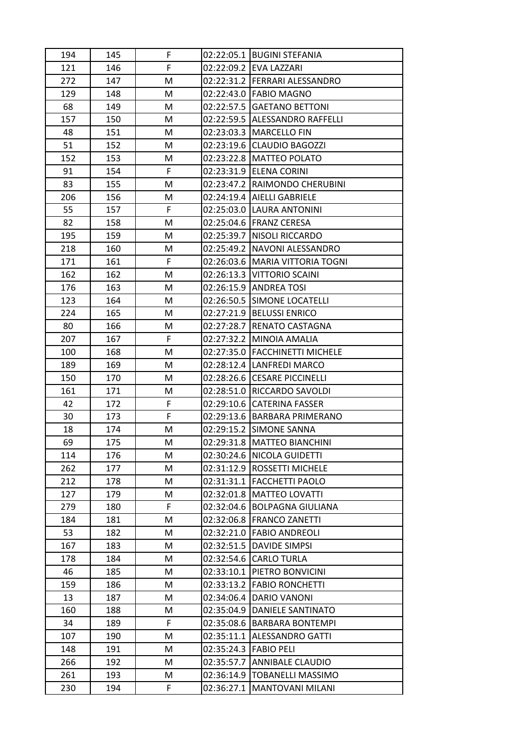| 194 | 145 | F  |            | 02:22:05.1 BUGINI STEFANIA        |
|-----|-----|----|------------|-----------------------------------|
| 121 | 146 | F  |            | 02:22:09.2 EVA LAZZARI            |
| 272 | 147 | М  |            | 02:22:31.2 FERRARI ALESSANDRO     |
| 129 | 148 | M  |            | 02:22:43.0 FABIO MAGNO            |
| 68  | 149 | M  |            | 02:22:57.5 GAETANO BETTONI        |
| 157 | 150 | М  |            | 02:22:59.5 ALESSANDRO RAFFELLI    |
| 48  | 151 | M  |            | 02:23:03.3   MARCELLO FIN         |
| 51  | 152 | М  |            | 02:23:19.6 CLAUDIO BAGOZZI        |
| 152 | 153 | М  |            | 02:23:22.8   MATTEO POLATO        |
| 91  | 154 | F  |            | 02:23:31.9  ELENA CORINI          |
| 83  | 155 | M  |            | 02:23:47.2 RAIMONDO CHERUBINI     |
| 206 | 156 | M  |            | 02:24:19.4   AIELLI GABRIELE      |
| 55  | 157 | F  |            | 02:25:03.0  LAURA ANTONINI        |
| 82  | 158 | M  |            | 02:25:04.6   FRANZ CERESA         |
| 195 | 159 | M  |            | 02:25:39.7 NISOLI RICCARDO        |
| 218 | 160 | М  |            | 02:25:49.2 NAVONI ALESSANDRO      |
| 171 | 161 | F  |            | 02:26:03.6   MARIA VITTORIA TOGNI |
| 162 | 162 | M  |            | 02:26:13.3 VITTORIO SCAINI        |
| 176 | 163 | М  |            | 02:26:15.9   ANDREA TOSI          |
| 123 | 164 | М  |            | 02:26:50.5 SIMONE LOCATELLI       |
| 224 | 165 | М  |            | 02:27:21.9 BELUSSI ENRICO         |
| 80  | 166 | M  |            | 02:27:28.7 RENATO CASTAGNA        |
| 207 | 167 | F. |            | 02:27:32.2 MINOIA AMALIA          |
| 100 | 168 | M  |            | 02:27:35.0   FACCHINETTI MICHELE  |
| 189 | 169 | М  |            | 02:28:12.4  LANFREDI MARCO        |
| 150 | 170 | M  |            | 02:28:26.6 CESARE PICCINELLI      |
| 161 | 171 | M  |            | 02:28:51.0 RICCARDO SAVOLDI       |
| 42  | 172 | F  |            | 02:29:10.6 CATERINA FASSER        |
| 30  | 173 | F  |            | 02:29:13.6 BARBARA PRIMERANO      |
| 18  | 174 | M  |            | 02:29:15.2 SIMONE SANNA           |
| 69  | 175 | M  |            | 02:29:31.8   MATTEO BIANCHINI     |
| 114 | 176 | M  |            | 02:30:24.6 NICOLA GUIDETTI        |
| 262 | 177 | M  |            | 02:31:12.9 ROSSETTI MICHELE       |
| 212 | 178 | Μ  |            | 02:31:31.1   FACCHETTI PAOLO      |
| 127 | 179 | м  |            | 02:32:01.8   MATTEO LOVATTI       |
| 279 | 180 | F  |            | 02:32:04.6 BOLPAGNA GIULIANA      |
| 184 | 181 | M  |            | 02:32:06.8   FRANCO ZANETTI       |
| 53  | 182 | M  | 02:32:21.0 | <b>FABIO ANDREOLI</b>             |
| 167 | 183 | M  | 02:32:51.5 | <b>DAVIDE SIMPSI</b>              |
| 178 | 184 | М  | 02:32:54.6 | <b>CARLO TURLA</b>                |
| 46  | 185 | М  |            | 02:33:10.1 PIETRO BONVICINI       |
| 159 | 186 | M  |            | 02:33:13.2 FABIO RONCHETTI        |
| 13  | 187 | М  |            | 02:34:06.4   DARIO VANONI         |
| 160 | 188 | M  |            | 02:35:04.9 DANIELE SANTINATO      |
| 34  | 189 | F  |            | 02:35:08.6 BARBARA BONTEMPI       |
| 107 | 190 | M  |            | 02:35:11.1 ALESSANDRO GATTI       |
| 148 | 191 | М  | 02:35:24.3 | <b>FABIO PELI</b>                 |
| 266 | 192 | M  | 02:35:57.7 | ANNIBALE CLAUDIO                  |
| 261 | 193 | М  |            | 02:36:14.9   TOBANELLI MASSIMO    |
| 230 | 194 | F  | 02:36:27.1 | <b>MANTOVANI MILANI</b>           |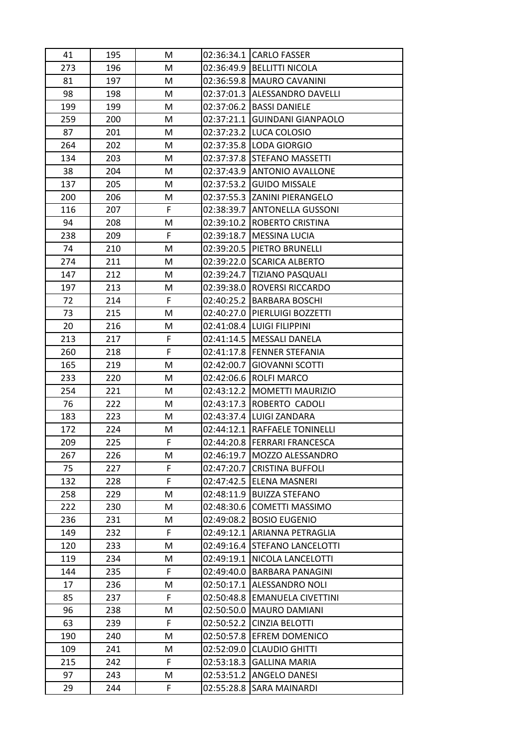| 41  | 195 | M  |            | 02:36:34.1 CARLO FASSER        |
|-----|-----|----|------------|--------------------------------|
| 273 | 196 | M  |            | 02:36:49.9 BELLITTI NICOLA     |
| 81  | 197 | M  |            | 02:36:59.8 MAURO CAVANINI      |
| 98  | 198 | M  |            | 02:37:01.3 ALESSANDRO DAVELLI  |
| 199 | 199 | M  | 02:37:06.2 | <b>BASSI DANIELE</b>           |
| 259 | 200 | М  |            | 02:37:21.1 GUINDANI GIANPAOLO  |
| 87  | 201 | M  |            | 02:37:23.2 LUCA COLOSIO        |
| 264 | 202 | M  |            | 02:37:35.8 LODA GIORGIO        |
| 134 | 203 | M  |            | 02:37:37.8 STEFANO MASSETTI    |
| 38  | 204 | M  |            | 02:37:43.9 ANTONIO AVALLONE    |
| 137 | 205 | M  |            | 02:37:53.2 GUIDO MISSALE       |
| 200 | 206 | M  |            | 02:37:55.3 ZANINI PIERANGELO   |
| 116 | 207 | F  |            | 02:38:39.7 ANTONELLA GUSSONI   |
| 94  | 208 | M  |            | 02:39:10.2   ROBERTO CRISTINA  |
| 238 | 209 | F  |            | 02:39:18.7   MESSINA LUCIA     |
| 74  | 210 | M  |            | 02:39:20.5 PIETRO BRUNELLI     |
| 274 | 211 | M  |            | 02:39:22.0 SCARICA ALBERTO     |
| 147 | 212 | M  |            | 02:39:24.7 TIZIANO PASQUALI    |
| 197 | 213 | M  | 02:39:38.0 | ROVERSI RICCARDO               |
| 72  | 214 | F  |            | 02:40:25.2 BARBARA BOSCHI      |
| 73  | 215 | M  |            | 02:40:27.0 PIERLUIGI BOZZETTI  |
| 20  | 216 | M  | 02:41:08.4 | <b>LUIGI FILIPPINI</b>         |
| 213 | 217 | F  |            | 02:41:14.5   MESSALI DANELA    |
| 260 | 218 | F  |            | 02:41:17.8 FENNER STEFANIA     |
| 165 | 219 | М  | 02:42:00.7 | <b>GIOVANNI SCOTTI</b>         |
| 233 | 220 | M  | 02:42:06.6 | <b>ROLFI MARCO</b>             |
| 254 | 221 | M  | 02:43:12.2 | <b>MOMETTI MAURIZIO</b>        |
| 76  | 222 | M  |            | 02:43:17.3  ROBERTO CADOLI     |
| 183 | 223 | M  |            | 02:43:37.4 LUIGI ZANDARA       |
| 172 | 224 | M  |            | 02:44:12.1 RAFFAELE TONINELLI  |
| 209 | 225 | F. |            | 02:44:20.8   FERRARI FRANCESCA |
| 267 | 226 | M  |            | 02:46:19.7   MOZZO ALESSANDRO  |
| 75  | 227 | F  | 02:47:20.7 | <b>CRISTINA BUFFOLI</b>        |
| 132 | 228 | F  | 02:47:42.5 | ELENA MASNERI                  |
| 258 | 229 | М  | 02:48:11.9 | <b>BUIZZA STEFANO</b>          |
| 222 | 230 | М  | 02:48:30.6 | <b>COMETTI MASSIMO</b>         |
| 236 | 231 | M  | 02:49:08.2 | <b>BOSIO EUGENIO</b>           |
| 149 | 232 | F  | 02:49:12.1 | ARIANNA PETRAGLIA              |
| 120 | 233 | M  | 02:49:16.4 | STEFANO LANCELOTTI             |
| 119 | 234 | M  | 02:49:19.1 | NICOLA LANCELOTTI              |
| 144 | 235 | F. | 02:49:40.0 | <b>BARBARA PANAGINI</b>        |
| 17  | 236 | M  |            | 02:50:17.1 ALESSANDRO NOLI     |
| 85  | 237 | F  | 02:50:48.8 | <b>EMANUELA CIVETTINI</b>      |
| 96  | 238 | M  | 02:50:50.0 | <b>MAURO DAMIANI</b>           |
| 63  | 239 | F  | 02:50:52.2 | <b>CINZIA BELOTTI</b>          |
| 190 | 240 | M  |            | 02:50:57.8 EFREM DOMENICO      |
| 109 | 241 | М  | 02:52:09.0 | <b>CLAUDIO GHITTI</b>          |
| 215 | 242 | F  | 02:53:18.3 | <b>GALLINA MARIA</b>           |
| 97  | 243 | М  | 02:53:51.2 | <b>ANGELO DANESI</b>           |
| 29  | 244 | F  | 02:55:28.8 | SARA MAINARDI                  |